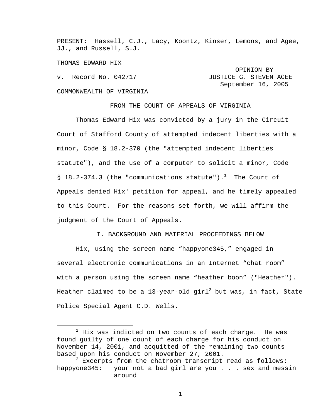PRESENT: Hassell, C.J., Lacy, Koontz, Kinser, Lemons, and Agee, JJ., and Russell, S.J.

THOMAS EDWARD HIX

 OPINION BY v. Record No. 042717 **JUSTICE G. STEVEN AGEE**  September 16, 2005 COMMONWEALTH OF VIRGINIA

FROM THE COURT OF APPEALS OF VIRGINIA

 Thomas Edward Hix was convicted by a jury in the Circuit Court of Stafford County of attempted indecent liberties with a minor, Code § 18.2-370 (the "attempted indecent liberties statute"), and the use of a computer to solicit a minor, Code §  $18.2-374.3$  (the "communications statute").<sup>1</sup> The Court of Appeals denied Hix' petition for appeal, and he timely appealed to this Court. For the reasons set forth, we will affirm the judgment of the Court of Appeals.

I. BACKGROUND AND MATERIAL PROCEEDINGS BELOW

 Hix, using the screen name "happyone345," engaged in several electronic communications in an Internet "chat room" with a person using the screen name "heather\_boon" ("Heather"). Heather claimed to be a 13-year-old girl $^2$  but was, in fact, State Police Special Agent C.D. Wells.

<sup>&</sup>lt;u>1</u>  $1$  Hix was indicted on two counts of each charge. He was found guilty of one count of each charge for his conduct on November 14, 2001, and acquitted of the remaining two counts based upon his conduct on November 27, 2001.

 $^2$  Excerpts from the chatroom transcript read as follows: happyone345: your not a bad girl are you . . . sex and messin around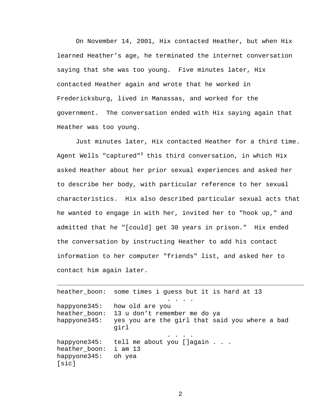On November 14, 2001, Hix contacted Heather, but when Hix learned Heather's age, he terminated the internet conversation saying that she was too young. Five minutes later, Hix contacted Heather again and wrote that he worked in Fredericksburg, lived in Manassas, and worked for the government. The conversation ended with Hix saying again that Heather was too young.

 Just minutes later, Hix contacted Heather for a third time. Agent Wells "captured"<sup>3</sup> this third conversation, in which Hix asked Heather about her prior sexual experiences and asked her to describe her body, with particular reference to her sexual characteristics. Hix also described particular sexual acts that he wanted to engage in with her, invited her to "hook up," and admitted that he "[could] get 30 years in prison." Hix ended the conversation by instructing Heather to add his contact information to her computer "friends" list, and asked her to contact him again later.

heather\_boon: some times i guess but it is hard at 13 . . . . happyone345: how old are you heather boon: 13 u don't remember me do ya happyone345: yes you are the girl that said you where a bad girl . . . . happyone345: tell me about you [ ]again . . . heather\_boon: i am 13 happyone345: oh yea [sic]

i<br>Li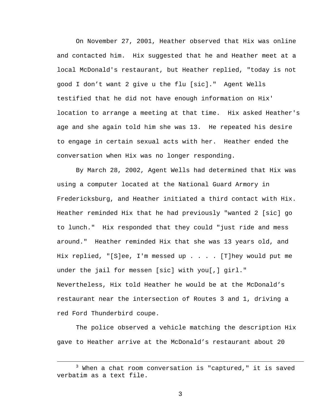On November 27, 2001, Heather observed that Hix was online and contacted him. Hix suggested that he and Heather meet at a local McDonald's restaurant, but Heather replied, "today is not good I don't want 2 give u the flu [sic]." Agent Wells testified that he did not have enough information on Hix' location to arrange a meeting at that time. Hix asked Heather's age and she again told him she was 13. He repeated his desire to engage in certain sexual acts with her. Heather ended the conversation when Hix was no longer responding.

 By March 28, 2002, Agent Wells had determined that Hix was using a computer located at the National Guard Armory in Fredericksburg, and Heather initiated a third contact with Hix. Heather reminded Hix that he had previously "wanted 2 [sic] go to lunch." Hix responded that they could "just ride and mess around." Heather reminded Hix that she was 13 years old, and Hix replied, "[S]ee, I'm messed up . . . . [T]hey would put me under the jail for messen [sic] with you[,] girl." Nevertheless, Hix told Heather he would be at the McDonald's restaurant near the intersection of Routes 3 and 1, driving a red Ford Thunderbird coupe.

 The police observed a vehicle matching the description Hix gave to Heather arrive at the McDonald's restaurant about 20

 $\frac{1}{3}$  $3$  When a chat room conversation is "captured," it is saved verbatim as a text file.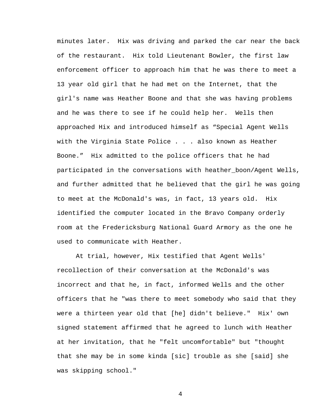minutes later. Hix was driving and parked the car near the back of the restaurant. Hix told Lieutenant Bowler, the first law enforcement officer to approach him that he was there to meet a 13 year old girl that he had met on the Internet, that the girl's name was Heather Boone and that she was having problems and he was there to see if he could help her. Wells then approached Hix and introduced himself as "Special Agent Wells with the Virginia State Police . . . also known as Heather Boone." Hix admitted to the police officers that he had participated in the conversations with heather\_boon/Agent Wells, and further admitted that he believed that the girl he was going to meet at the McDonald's was, in fact, 13 years old. Hix identified the computer located in the Bravo Company orderly room at the Fredericksburg National Guard Armory as the one he used to communicate with Heather.

 At trial, however, Hix testified that Agent Wells' recollection of their conversation at the McDonald's was incorrect and that he, in fact, informed Wells and the other officers that he "was there to meet somebody who said that they were a thirteen year old that [he] didn't believe." Hix' own signed statement affirmed that he agreed to lunch with Heather at her invitation, that he "felt uncomfortable" but "thought that she may be in some kinda [sic] trouble as she [said] she was skipping school."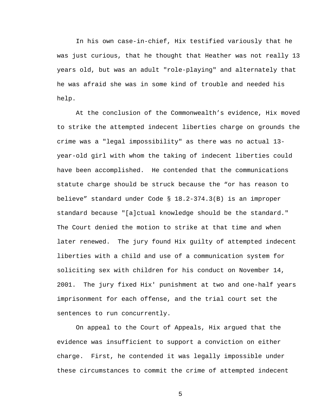In his own case-in-chief, Hix testified variously that he was just curious, that he thought that Heather was not really 13 years old, but was an adult "role-playing" and alternately that he was afraid she was in some kind of trouble and needed his help.

 At the conclusion of the Commonwealth's evidence, Hix moved to strike the attempted indecent liberties charge on grounds the crime was a "legal impossibility" as there was no actual 13 year-old girl with whom the taking of indecent liberties could have been accomplished. He contended that the communications statute charge should be struck because the "or has reason to believe" standard under Code § 18.2-374.3(B) is an improper standard because "[a]ctual knowledge should be the standard." The Court denied the motion to strike at that time and when later renewed. The jury found Hix guilty of attempted indecent liberties with a child and use of a communication system for soliciting sex with children for his conduct on November 14, 2001. The jury fixed Hix' punishment at two and one-half years imprisonment for each offense, and the trial court set the sentences to run concurrently.

 On appeal to the Court of Appeals, Hix argued that the evidence was insufficient to support a conviction on either charge. First, he contended it was legally impossible under these circumstances to commit the crime of attempted indecent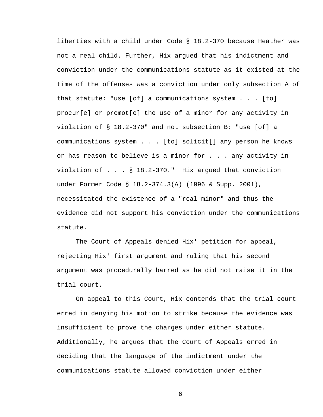liberties with a child under Code § 18.2-370 because Heather was not a real child. Further, Hix argued that his indictment and conviction under the communications statute as it existed at the time of the offenses was a conviction under only subsection A of that statute: "use [of] a communications system . . . [to] procur[e] or promot[e] the use of a minor for any activity in violation of § 18.2-370" and not subsection B: "use [of] a communications system . . . [to] solicit[] any person he knows or has reason to believe is a minor for . . . any activity in violation of . . . § 18.2-370." Hix argued that conviction under Former Code § 18.2-374.3(A) (1996 & Supp. 2001), necessitated the existence of a "real minor" and thus the evidence did not support his conviction under the communications statute.

 The Court of Appeals denied Hix' petition for appeal, rejecting Hix' first argument and ruling that his second argument was procedurally barred as he did not raise it in the trial court.

 On appeal to this Court, Hix contends that the trial court erred in denying his motion to strike because the evidence was insufficient to prove the charges under either statute. Additionally, he argues that the Court of Appeals erred in deciding that the language of the indictment under the communications statute allowed conviction under either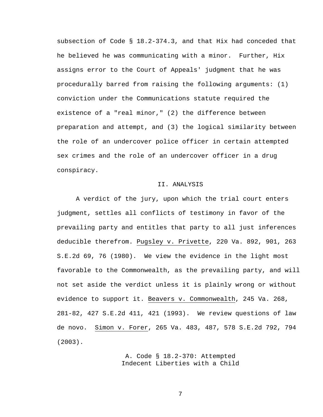subsection of Code § 18.2-374.3, and that Hix had conceded that he believed he was communicating with a minor. Further, Hix assigns error to the Court of Appeals' judgment that he was procedurally barred from raising the following arguments: (1) conviction under the Communications statute required the existence of a "real minor," (2) the difference between preparation and attempt, and (3) the logical similarity between the role of an undercover police officer in certain attempted sex crimes and the role of an undercover officer in a drug conspiracy.

## II. ANALYSIS

 A verdict of the jury, upon which the trial court enters judgment, settles all conflicts of testimony in favor of the prevailing party and entitles that party to all just inferences deducible therefrom. Pugsley v. Privette, 220 Va. 892, 901, 263 S.E.2d 69, 76 (1980). We view the evidence in the light most favorable to the Commonwealth, as the prevailing party, and will not set aside the verdict unless it is plainly wrong or without evidence to support it. Beavers v. Commonwealth, 245 Va. 268, 281-82, 427 S.E.2d 411, 421 (1993). We review questions of law de novo. Simon v. Forer, 265 Va. 483, 487, 578 S.E.2d 792, 794 (2003).

> A. Code § 18.2-370: Attempted Indecent Liberties with a Child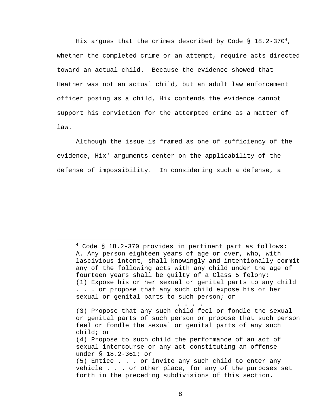Hix argues that the crimes described by Code § 18.2-370 $^4$ , whether the completed crime or an attempt, require acts directed toward an actual child. Because the evidence showed that Heather was not an actual child, but an adult law enforcement officer posing as a child, Hix contends the evidence cannot support his conviction for the attempted crime as a matter of law.

Although the issue is framed as one of sufficiency of the evidence, Hix' arguments center on the applicability of the defense of impossibility. In considering such a defense, a

. . . .

 $\overline{4}$  $4 \text{ Code }$  § 18.2-370 provides in pertinent part as follows: A. Any person eighteen years of age or over, who, with lascivious intent, shall knowingly and intentionally commit any of the following acts with any child under the age of fourteen years shall be guilty of a Class 5 felony: (1) Expose his or her sexual or genital parts to any child . . . or propose that any such child expose his or her sexual or genital parts to such person; or

<sup>(3)</sup> Propose that any such child feel or fondle the sexual or genital parts of such person or propose that such person feel or fondle the sexual or genital parts of any such child; or (4) Propose to such child the performance of an act of sexual intercourse or any act constituting an offense under § 18.2-361; or (5) Entice . . . or invite any such child to enter any vehicle . . . or other place, for any of the purposes set forth in the preceding subdivisions of this section.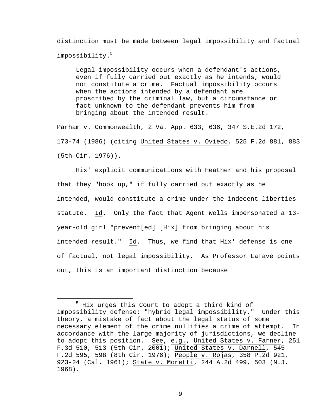distinction must be made between legal impossibility and factual impossibility.<sup>5</sup>

Legal impossibility occurs when a defendant's actions, even if fully carried out exactly as he intends, would not constitute a crime. Factual impossibility occurs when the actions intended by a defendant are proscribed by the criminal law, but a circumstance or fact unknown to the defendant prevents him from bringing about the intended result.

Parham v. Commonwealth, 2 Va. App. 633, 636, 347 S.E.2d 172, 173-74 (1986) (citing United States v. Oviedo, 525 F.2d 881, 883 (5th Cir. 1976)).

 Hix' explicit communications with Heather and his proposal that they "hook up," if fully carried out exactly as he intended, would constitute a crime under the indecent liberties statute. Id. Only the fact that Agent Wells impersonated a 13 year-old girl "prevent[ed] [Hix] from bringing about his intended result." Id. Thus, we find that Hix' defense is one of factual, not legal impossibility. As Professor LaFave points out, this is an important distinction because

 $\overline{\phantom{0}}$  $^5$  Hix urges this Court to adopt a third kind of impossibility defense: "hybrid legal impossibility." Under this theory, a mistake of fact about the legal status of some necessary element of the crime nullifies a crime of attempt. In accordance with the large majority of jurisdictions, we decline to adopt this position. See, e.g., United States v. Farner, 251 F.3d 510, 513 (5th Cir. 2001); United States v. Darnell, 545 F.2d 595, 598 (8th Cir. 1976); People v. Rojas, 358 P.2d 921, 923-24 (Cal. 1961); State v. Moretti, 244 A.2d 499, 503 (N.J. 1968).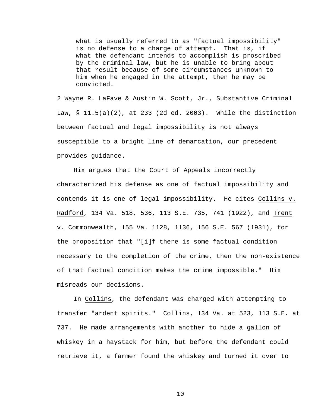what is usually referred to as "factual impossibility" is no defense to a charge of attempt. That is, if what the defendant intends to accomplish is proscribed by the criminal law, but he is unable to bring about that result because of some circumstances unknown to him when he engaged in the attempt, then he may be convicted.

2 Wayne R. LaFave & Austin W. Scott, Jr., Substantive Criminal Law, § 11.5(a)(2), at 233 (2d ed. 2003). While the distinction between factual and legal impossibility is not always susceptible to a bright line of demarcation, our precedent provides guidance.

 Hix argues that the Court of Appeals incorrectly characterized his defense as one of factual impossibility and contends it is one of legal impossibility. He cites Collins v. Radford, 134 Va. 518, 536, 113 S.E. 735, 741 (1922), and Trent v. Commonwealth, 155 Va. 1128, 1136, 156 S.E. 567 (1931), for the proposition that "[i]f there is some factual condition necessary to the completion of the crime, then the non-existence of that factual condition makes the crime impossible." Hix misreads our decisions.

 In Collins, the defendant was charged with attempting to transfer "ardent spirits." Collins, 134 Va. at 523, 113 S.E. at 737. He made arrangements with another to hide a gallon of whiskey in a haystack for him, but before the defendant could retrieve it, a farmer found the whiskey and turned it over to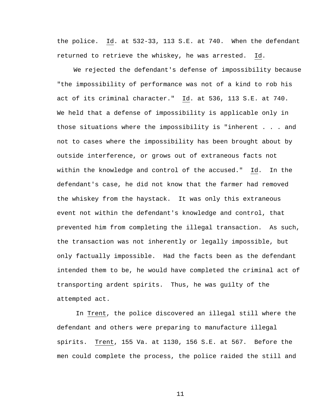the police. Id. at 532-33, 113 S.E. at 740. When the defendant returned to retrieve the whiskey, he was arrested. Id.

 We rejected the defendant's defense of impossibility because "the impossibility of performance was not of a kind to rob his act of its criminal character." Id. at 536, 113 S.E. at 740. We held that a defense of impossibility is applicable only in those situations where the impossibility is "inherent . . . and not to cases where the impossibility has been brought about by outside interference, or grows out of extraneous facts not within the knowledge and control of the accused." Id. In the defendant's case, he did not know that the farmer had removed the whiskey from the haystack. It was only this extraneous event not within the defendant's knowledge and control, that prevented him from completing the illegal transaction. As such, the transaction was not inherently or legally impossible, but only factually impossible. Had the facts been as the defendant intended them to be, he would have completed the criminal act of transporting ardent spirits. Thus, he was guilty of the attempted act.

 In Trent, the police discovered an illegal still where the defendant and others were preparing to manufacture illegal spirits. Trent, 155 Va. at 1130, 156 S.E. at 567. Before the men could complete the process, the police raided the still and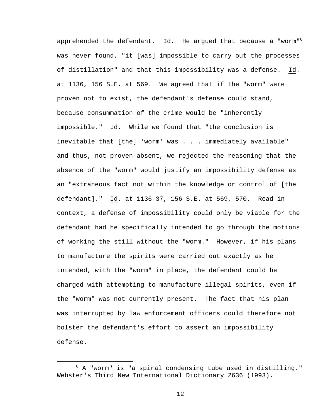apprehended the defendant. Id. He argued that because a "worm"<sup>6</sup> was never found, "it [was] impossible to carry out the processes of distillation" and that this impossibility was a defense. Id. at 1136, 156 S.E. at 569. We agreed that if the "worm" were proven not to exist, the defendant's defense could stand, because consummation of the crime would be "inherently impossible." Id. While we found that "the conclusion is inevitable that [the] 'worm' was . . . immediately available" and thus, not proven absent, we rejected the reasoning that the absence of the "worm" would justify an impossibility defense as an "extraneous fact not within the knowledge or control of [the defendant]." Id. at 1136-37, 156 S.E. at 569, 570. Read in context, a defense of impossibility could only be viable for the defendant had he specifically intended to go through the motions of working the still without the "worm." However, if his plans to manufacture the spirits were carried out exactly as he intended, with the "worm" in place, the defendant could be charged with attempting to manufacture illegal spirits, even if the "worm" was not currently present. The fact that his plan was interrupted by law enforcement officers could therefore not bolster the defendant's effort to assert an impossibility defense.

 <sup>6</sup>  $6$  A "worm" is "a spiral condensing tube used in distilling." Webster's Third New International Dictionary 2636 (1993).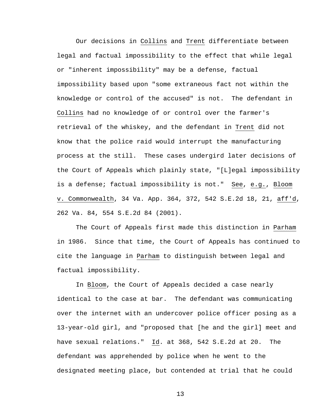Our decisions in Collins and Trent differentiate between legal and factual impossibility to the effect that while legal or "inherent impossibility" may be a defense, factual impossibility based upon "some extraneous fact not within the knowledge or control of the accused" is not. The defendant in Collins had no knowledge of or control over the farmer's retrieval of the whiskey, and the defendant in Trent did not know that the police raid would interrupt the manufacturing process at the still. These cases undergird later decisions of the Court of Appeals which plainly state, "[L]egal impossibility is a defense; factual impossibility is not." See, e.g., Bloom v. Commonwealth, 34 Va. App. 364, 372, 542 S.E.2d 18, 21, aff'd, 262 Va. 84, 554 S.E.2d 84 (2001).

The Court of Appeals first made this distinction in Parham in 1986. Since that time, the Court of Appeals has continued to cite the language in Parham to distinguish between legal and factual impossibility.

In Bloom, the Court of Appeals decided a case nearly identical to the case at bar. The defendant was communicating over the internet with an undercover police officer posing as a 13-year-old girl, and "proposed that [he and the girl] meet and have sexual relations." Id. at 368, 542 S.E.2d at 20. The defendant was apprehended by police when he went to the designated meeting place, but contended at trial that he could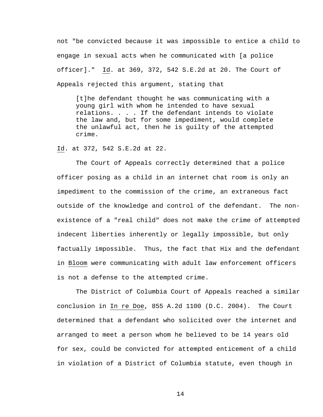not "be convicted because it was impossible to entice a child to engage in sexual acts when he communicated with [a police officer]." Id. at 369, 372, 542 S.E.2d at 20. The Court of Appeals rejected this argument, stating that

[t]he defendant thought he was communicating with a young girl with whom he intended to have sexual relations. . . . If the defendant intends to violate the law and, but for some impediment, would complete the unlawful act, then he is guilty of the attempted crime.

Id. at 372, 542 S.E.2d at 22.

The Court of Appeals correctly determined that a police officer posing as a child in an internet chat room is only an impediment to the commission of the crime, an extraneous fact outside of the knowledge and control of the defendant. The nonexistence of a "real child" does not make the crime of attempted indecent liberties inherently or legally impossible, but only factually impossible. Thus, the fact that Hix and the defendant in Bloom were communicating with adult law enforcement officers is not a defense to the attempted crime.

The District of Columbia Court of Appeals reached a similar conclusion in In re Doe, 855 A.2d 1100 (D.C. 2004). The Court determined that a defendant who solicited over the internet and arranged to meet a person whom he believed to be 14 years old for sex, could be convicted for attempted enticement of a child in violation of a District of Columbia statute, even though in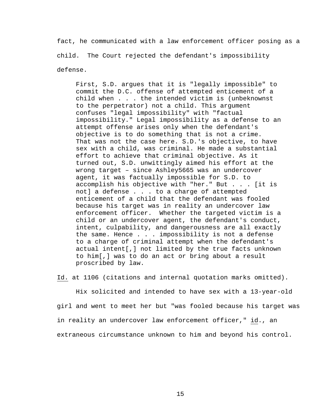fact, he communicated with a law enforcement officer posing as a child. The Court rejected the defendant's impossibility defense.

First, S.D. argues that it is "legally impossible" to commit the D.C. offense of attempted enticement of a child when . . . the intended victim is (unbeknownst to the perpetrator) not a child. This argument confuses "legal impossibility" with "factual impossibility." Legal impossibility as a defense to an attempt offense arises only when the defendant's objective is to do something that is not a crime. That was not the case here. S.D.'s objective, to have sex with a child, was criminal. He made a substantial effort to achieve that criminal objective. As it turned out, S.D. unwittingly aimed his effort at the wrong target – since Ashley5665 was an undercover agent, it was factually impossible for S.D. to accomplish his objective with "her." But . . . [it is not] a defense . . . to a charge of attempted enticement of a child that the defendant was fooled because his target was in reality an undercover law enforcement officer. Whether the targeted victim is a child or an undercover agent, the defendant's conduct, intent, culpability, and dangerousness are all exactly the same. Hence . . . impossibility is not a defense to a charge of criminal attempt when the defendant's actual intent[,] not limited by the true facts unknown to him[,] was to do an act or bring about a result proscribed by law.

Id. at 1106 (citations and internal quotation marks omitted).

 Hix solicited and intended to have sex with a 13-year-old girl and went to meet her but "was fooled because his target was in reality an undercover law enforcement officer," id., an extraneous circumstance unknown to him and beyond his control.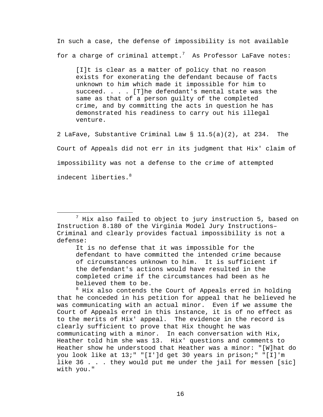In such a case, the defense of impossibility is not available for a charge of criminal attempt. $^7$  As Professor LaFave notes:

[I]t is clear as a matter of policy that no reason exists for exonerating the defendant because of facts unknown to him which made it impossible for him to succeed. . . . [T]he defendant's mental state was the same as that of a person guilty of the completed crime, and by committing the acts in question he has demonstrated his readiness to carry out his illegal venture.

2 LaFave, Substantive Criminal Law § 11.5(a)(2), at 234. The Court of Appeals did not err in its judgment that Hix' claim of impossibility was not a defense to the crime of attempted indecent liberties.<sup>8</sup>

It is no defense that it was impossible for the defendant to have committed the intended crime because of circumstances unknown to him. It is sufficient if the defendant's actions would have resulted in the completed crime if the circumstances had been as he believed them to be.

<sup>8</sup> Hix also contends the Court of Appeals erred in holding that he conceded in his petition for appeal that he believed he was communicating with an actual minor. Even if we assume the Court of Appeals erred in this instance, it is of no effect as to the merits of Hix' appeal. The evidence in the record is clearly sufficient to prove that Hix thought he was communicating with a minor. In each conversation with Hix, Heather told him she was 13. Hix' questions and comments to Heather show he understood that Heather was a minor: "[W]hat do you look like at 13;" "[I']d get 30 years in prison;" "[I]'m like 36 . . . they would put me under the jail for messen [sic] with you."

 <sup>7</sup>  $^7$  Hix also failed to object to jury instruction 5, based on Instruction 8.180 of the Virginia Model Jury Instructions– Criminal and clearly provides factual impossibility is not a defense: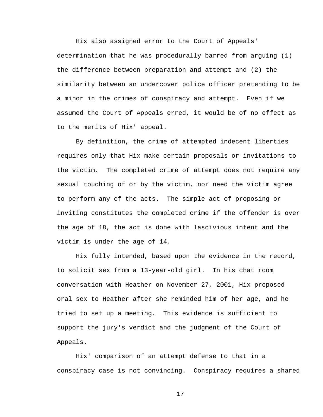Hix also assigned error to the Court of Appeals' determination that he was procedurally barred from arguing (1) the difference between preparation and attempt and (2) the similarity between an undercover police officer pretending to be a minor in the crimes of conspiracy and attempt. Even if we assumed the Court of Appeals erred, it would be of no effect as to the merits of Hix' appeal.

By definition, the crime of attempted indecent liberties requires only that Hix make certain proposals or invitations to the victim. The completed crime of attempt does not require any sexual touching of or by the victim, nor need the victim agree to perform any of the acts. The simple act of proposing or inviting constitutes the completed crime if the offender is over the age of 18, the act is done with lascivious intent and the victim is under the age of 14.

Hix fully intended, based upon the evidence in the record, to solicit sex from a 13-year-old girl. In his chat room conversation with Heather on November 27, 2001, Hix proposed oral sex to Heather after she reminded him of her age, and he tried to set up a meeting. This evidence is sufficient to support the jury's verdict and the judgment of the Court of Appeals.

Hix' comparison of an attempt defense to that in a conspiracy case is not convincing. Conspiracy requires a shared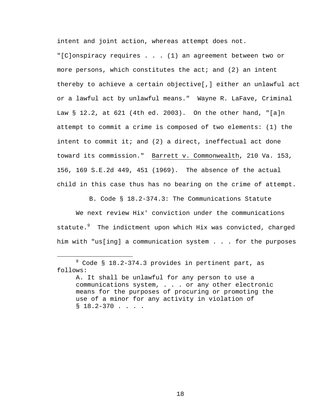intent and joint action, whereas attempt does not. "[C]onspiracy requires . . . (1) an agreement between two or more persons, which constitutes the act; and (2) an intent thereby to achieve a certain objective[,] either an unlawful act or a lawful act by unlawful means." Wayne R. LaFave, Criminal Law § 12.2, at 621 (4th ed. 2003). On the other hand, "[a]n attempt to commit a crime is composed of two elements: (1) the intent to commit it; and (2) a direct, ineffectual act done toward its commission." Barrett v. Commonwealth, 210 Va. 153, 156, 169 S.E.2d 449, 451 (1969). The absence of the actual child in this case thus has no bearing on the crime of attempt.

B. Code § 18.2-374.3: The Communications Statute

We next review Hix' conviction under the communications statute.<sup>9</sup> The indictment upon which Hix was convicted, charged him with "us[ing] a communication system . . . for the purposes

 <sup>9</sup>  $9$  Code § 18.2-374.3 provides in pertinent part, as follows:

A. It shall be unlawful for any person to use a communications system, . . . or any other electronic means for the purposes of procuring or promoting the use of a minor for any activity in violation of  $$18.2-370$  . . . .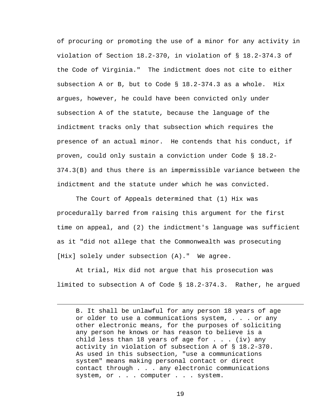of procuring or promoting the use of a minor for any activity in violation of Section 18.2-370, in violation of § 18.2-374.3 of the Code of Virginia." The indictment does not cite to either subsection A or B, but to Code § 18.2-374.3 as a whole. Hix argues, however, he could have been convicted only under subsection A of the statute, because the language of the indictment tracks only that subsection which requires the presence of an actual minor. He contends that his conduct, if proven, could only sustain a conviction under Code § 18.2- 374.3(B) and thus there is an impermissible variance between the indictment and the statute under which he was convicted.

The Court of Appeals determined that (1) Hix was procedurally barred from raising this argument for the first time on appeal, and (2) the indictment's language was sufficient as it "did not allege that the Commonwealth was prosecuting [Hix] solely under subsection (A)." We agree.

At trial, Hix did not argue that his prosecution was limited to subsection A of Code § 18.2-374.3. Rather, he argued

i<br>Li

B. It shall be unlawful for any person 18 years of age or older to use a communications system, . . . or any other electronic means, for the purposes of soliciting any person he knows or has reason to believe is a child less than 18 years of age for  $\ldots$  (iv) any activity in violation of subsection A of § 18.2-370. As used in this subsection, "use a communications system" means making personal contact or direct contact through . . . any electronic communications system, or . . . computer . . . system.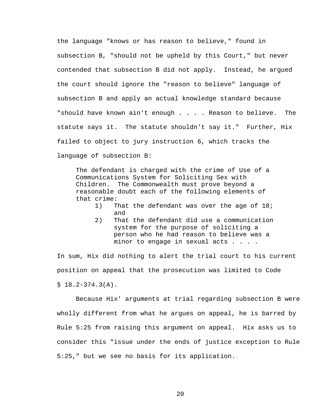the language "knows or has reason to believe," found in subsection B, "should not be upheld by this Court," but never contended that subsection B did not apply. Instead, he argued the court should ignore the "reason to believe" language of subsection B and apply an actual knowledge standard because "should have known ain't enough . . . . Reason to believe. The statute says it. The statute shouldn't say it." Further, Hix failed to object to jury instruction 6, which tracks the language of subsection B:

The defendant is charged with the crime of Use of a Communications System for Soliciting Sex with Children. The Commonwealth must prove beyond a reasonable doubt each of the following elements of that crime:

- 1) That the defendant was over the age of 18; and
- 2) That the defendant did use a communication system for the purpose of soliciting a person who he had reason to believe was a minor to engage in sexual acts . . . .

In sum, Hix did nothing to alert the trial court to his current position on appeal that the prosecution was limited to Code  $$18.2-374.3(A).$ 

Because Hix' arguments at trial regarding subsection B were wholly different from what he argues on appeal, he is barred by Rule 5:25 from raising this argument on appeal. Hix asks us to consider this "issue under the ends of justice exception to Rule 5:25," but we see no basis for its application.